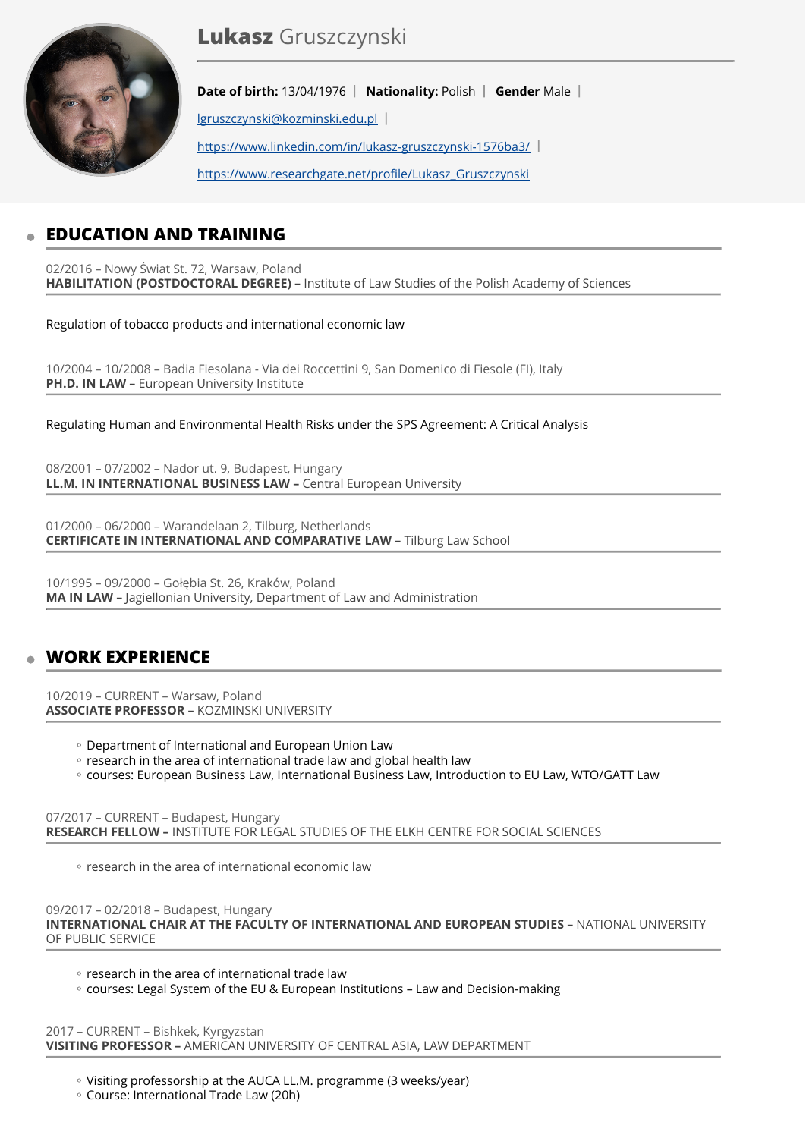

# **Lukasz** Gruszczynski

**Date of birth:** 13/04/1976 | Nationality: Polish | Gender Male | [lgruszczynski@kozminski.edu.pl](mailto:lgruszczynski@kozminski.edu.pl) <https://www.linkedin.com/in/lukasz-gruszczynski-1576ba3/> [https://www.researchgate.net/pro](https://www.researchgate.net/profile/Lukasz_Gruszczynski)file/Lukasz\_Gruszczynski

# **EDUCATION AND TRAINING**

02/2016 – Nowy Świat St. 72, Warsaw, Poland **HABILITATION (POSTDOCTORAL DEGREE) –** Institute of Law Studies of the Polish Academy of Sciences

Regulation of tobacco products and international economic law

10/2004 – 10/2008 – Badia Fiesolana - Via dei Roccettini 9, San Domenico di Fiesole (FI), Italy **PH.D. IN LAW – European University Institute** 

Regulating Human and Environmental Health Risks under the SPS Agreement: A Critical Analysis

08/2001 – 07/2002 – Nador ut. 9, Budapest, Hungary **LL.M. IN INTERNATIONAL BUSINESS LAW - Central European University** 

01/2000 – 06/2000 – Warandelaan 2, Tilburg, Netherlands **CERTIFICATE IN INTERNATIONAL AND COMPARATIVE LAW –** Tilburg Law School

10/1995 – 09/2000 – Gołębia St. 26, Kraków, Poland **MA IN LAW –** Jagiellonian University, Department of Law and Administration

# **WORK EXPERIENCE**

10/2019 – CURRENT – Warsaw, Poland **ASSOCIATE PROFESSOR –** KOZMINSKI UNIVERSITY

- Department of International and European Union Law ◦
- research in the area of international trade law and global health law
- courses: European Business Law, International Business Law, Introduction to EU Law, WTO/GATT Law

07/2017 – CURRENT – Budapest, Hungary **RESEARCH FELLOW –** INSTITUTE FOR LEGAL STUDIES OF THE ELKH CENTRE FOR SOCIAL SCIENCES

◦ research in the area of international economic law

09/2017 – 02/2018 – Budapest, Hungary

**INTERNATIONAL CHAIR AT THE FACULTY OF INTERNATIONAL AND EUROPEAN STUDIES –** NATIONAL UNIVERSITY OF PUBLIC SERVICE

◦ research in the area of international trade law

◦ courses: Legal System of the EU & European Institutions – Law and Decision-making

2017 – CURRENT – Bishkek, Kyrgyzstan **VISITING PROFESSOR –** AMERICAN UNIVERSITY OF CENTRAL ASIA, LAW DEPARTMENT

◦ Visiting professorship at the AUCA LL.M. programme (3 weeks/year)

Course: International Trade Law (20h) ◦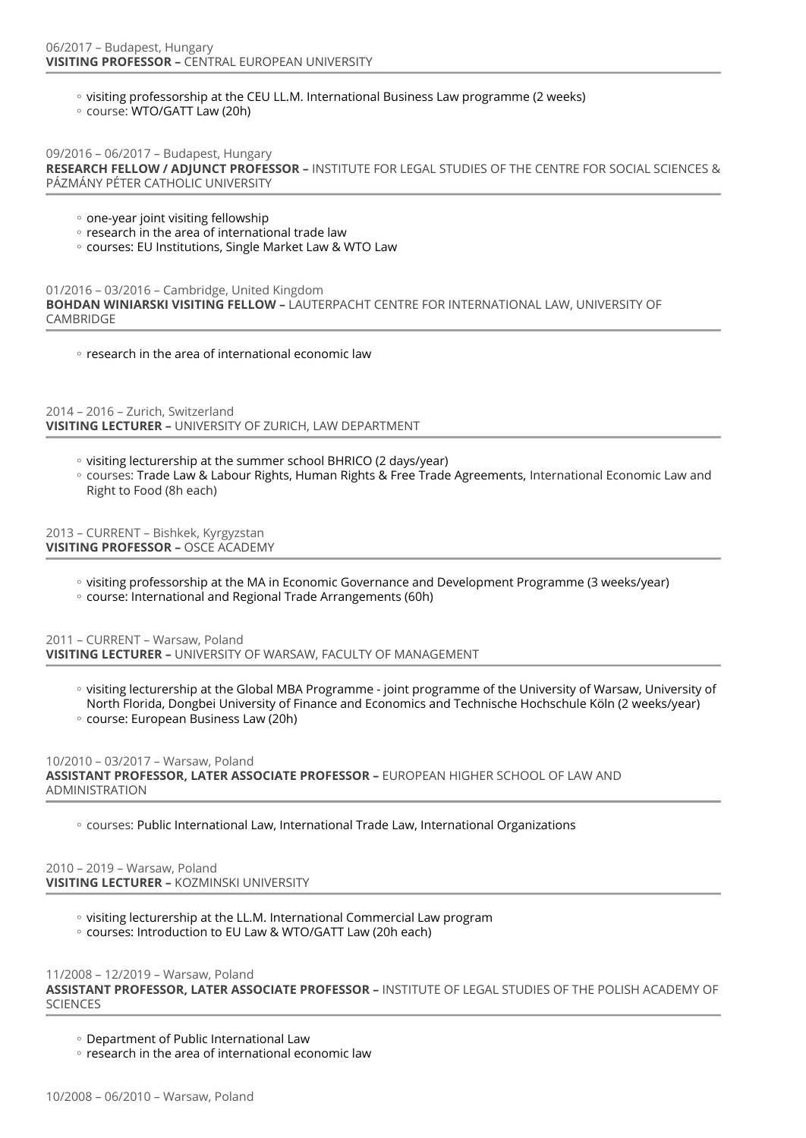- visiting professorship at the CEU LL.M. International Business Law programme (2 weeks)
- course: WTO/GATT Law (20h)

09/2016 – 06/2017 – Budapest, Hungary **RESEARCH FELLOW / ADJUNCT PROFESSOR –** INSTITUTE FOR LEGAL STUDIES OF THE CENTRE FOR SOCIAL SCIENCES & PÁZMÁNY PÉTER CATHOLIC UNIVERSITY

- one-year joint visiting fellowship
- research in the area of international trade law
- courses: EU Institutions, Single Market Law & WTO Law

01/2016 – 03/2016 – Cambridge, United Kingdom **BOHDAN WINIARSKI VISITING FELLOW –** LAUTERPACHT CENTRE FOR INTERNATIONAL LAW, UNIVERSITY OF CAMBRIDGE

◦ research in the area of international economic law

2014 – 2016 – Zurich, Switzerland **VISITING LECTURER –** UNIVERSITY OF ZURICH, LAW DEPARTMENT

- visiting lecturership at the summer school BHRICO (2 days/year)
- courses: Trade Law & Labour Rights, Human Rights & Free Trade Agreements, International Economic Law and Right to Food (8h each)

2013 – CURRENT – Bishkek, Kyrgyzstan **VISITING PROFESSOR –** OSCE ACADEMY

- visiting professorship at the MA in Economic Governance and Development Programme (3 weeks/year) ◦
- course: International and Regional Trade Arrangements (60h)

2011 – CURRENT – Warsaw, Poland **VISITING LECTURER –** UNIVERSITY OF WARSAW, FACULTY OF MANAGEMENT

- visiting lecturership at the Global MBA Programme joint programme of the University of Warsaw, University of North Florida, Dongbei University of Finance and Economics and Technische Hochschule Köln (2 weeks/year)
- course: European Business Law (20h)

10/2010 – 03/2017 – Warsaw, Poland

**ASSISTANT PROFESSOR, LATER ASSOCIATE PROFESSOR –** EUROPEAN HIGHER SCHOOL OF LAW AND ADMINISTRATION

◦ courses: Public International Law, International Trade Law, International Organizations

2010 – 2019 – Warsaw, Poland **VISITING LECTURER –** KOZMINSKI UNIVERSITY

- visiting lecturership at the LL.M. International Commercial Law program
- courses: Introduction to EU Law & WTO/GATT Law (20h each)

11/2008 – 12/2019 – Warsaw, Poland

**ASSISTANT PROFESSOR, LATER ASSOCIATE PROFESSOR –** INSTITUTE OF LEGAL STUDIES OF THE POLISH ACADEMY OF **SCIENCES** 

Department of Public International Law ◦

◦ research in the area of international economic law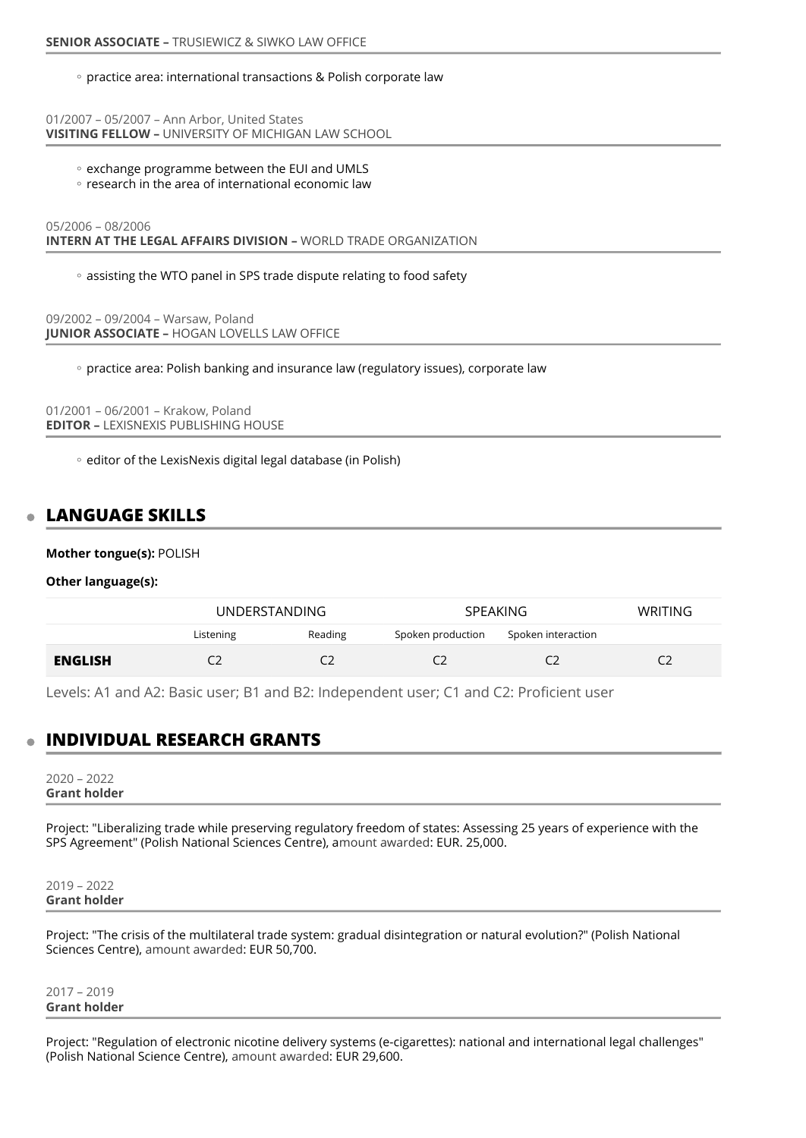### ◦ practice area: international transactions & Polish corporate law

01/2007 – 05/2007 – Ann Arbor, United States **VISITING FELLOW –** UNIVERSITY OF MICHIGAN LAW SCHOOL

- exchange programme between the EUI and UMLS
- research in the area of international economic law

05/2006 – 08/2006 **INTERN AT THE LEGAL AFFAIRS DIVISION –** WORLD TRADE ORGANIZATION

assisting the WTO panel in SPS trade dispute relating to food safety ◦

09/2002 – 09/2004 – Warsaw, Poland **JUNIOR ASSOCIATE –** HOGAN LOVELLS LAW OFFICE

◦ practice area: Polish banking and insurance law (regulatory issues), corporate law

01/2001 – 06/2001 – Krakow, Poland **EDITOR –** LEXISNEXIS PUBLISHING HOUSE

◦ editor of the LexisNexis digital legal database (in Polish)

# **LANGUAGE SKILLS**

### **Mother tongue(s):** POLISH

**Other language(s):**

|                |           | <b>UNDERSTANDING</b> |                   | <b>SPEAKING</b>    |  |
|----------------|-----------|----------------------|-------------------|--------------------|--|
|                | Listening | Reading              | Spoken production | Spoken interaction |  |
| <b>ENGLISH</b> |           |                      |                   |                    |  |

Levels: A1 and A2: Basic user; B1 and B2: Independent user; C1 and C2: Proficient user

# **INDIVIDUAL RESEARCH GRANTS**

2020 – 2022 **Grant holder** 

Project: "Liberalizing trade while preserving regulatory freedom of states: Assessing 25 years of experience with the SPS Agreement" (Polish National Sciences Centre), amount awarded: EUR. 25,000.

2019 – 2022 **Grant holder** 

Project: "The crisis of the multilateral trade system: gradual disintegration or natural evolution?" (Polish National Sciences Centre), amount awarded: EUR 50,700.

2017 – 2019 **Grant holder** 

Project: "Regulation of electronic nicotine delivery systems (e-cigarettes): national and international legal challenges" (Polish National Science Centre), amount awarded: EUR 29,600.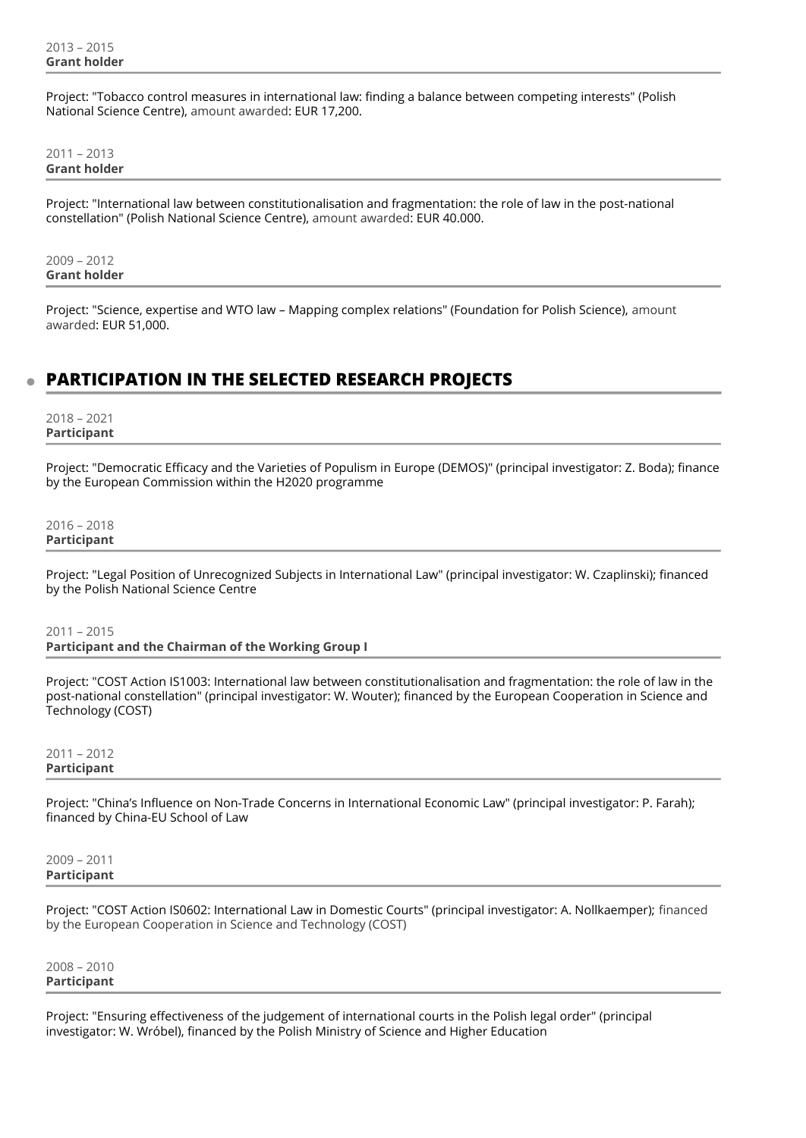Project: "Tobacco control measures in international law: finding a balance between competing interests" (Polish National Science Centre), amount awarded: EUR 17,200.

2011 – 2013 **Grant holder** 

Project: "International law between constitutionalisation and fragmentation: the role of law in the post-national constellation" (Polish National Science Centre), amount awarded: EUR 40.000.

2009 – 2012 **Grant holder** 

Project: "Science, expertise and WTO law – Mapping complex relations" (Foundation for Polish Science), amount awarded: EUR 51,000.

# **PARTICIPATION IN THE SELECTED RESEARCH PROJECTS**

2018 – 2021 **Participant** 

Project: "Democratic Efficacy and the Varieties of Populism in Europe (DEMOS)" (principal investigator: Z. Boda); finance by the European Commission within the H2020 programme

2016 – 2018 **Participant** 

Project: "Legal Position of Unrecognized Subjects in International Law" (principal investigator: W. Czaplinski); financed by the Polish National Science Centre

2011 – 2015 **Participant and the Chairman of the Working Group I** 

Project: "COST Action IS1003: International law between constitutionalisation and fragmentation: the role of law in the post-national constellation" (principal investigator: W. Wouter); financed by the European Cooperation in Science and Technology (COST)

2011 – 2012 **Participant** 

Project: "China's Influence on Non-Trade Concerns in International Economic Law" (principal investigator: P. Farah); financed by China-EU School of Law

2009 – 2011 **Participant** 

Project: "COST Action IS0602: International Law in Domestic Courts" (principal investigator: A. Nollkaemper); financed by the European Cooperation in Science and Technology (COST)

2008 – 2010 **Participant** 

Project: "Ensuring effectiveness of the judgement of international courts in the Polish legal order" (principal investigator: W. Wróbel), financed by the Polish Ministry of Science and Higher Education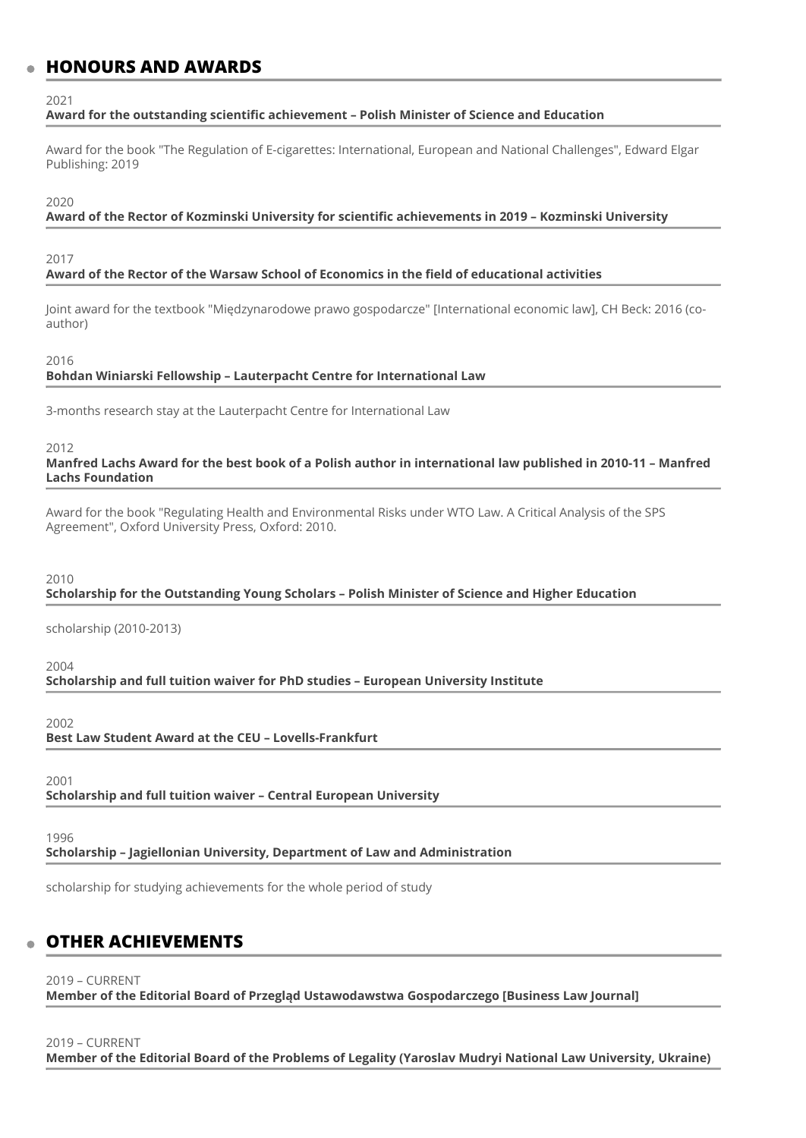## **HONOURS AND AWARDS**

 $2021$ 

## **Award for the outstanding scientific achievement – Polish Minister of Science and Education**

Award for the book "The Regulation of E-cigarettes: International, European and National Challenges", Edward Elgar Publishing: 2019

#### 2020

### **Award of the Rector of Kozminski University for scientific achievements in 2019 – Kozminski University**

#### 2017

### **Award of the Rector of the Warsaw School of Economics in the field of educational activities**

Joint award for the textbook "Międzynarodowe prawo gospodarcze" [International economic law], CH Beck: 2016 (coauthor)

#### 2016

### **Bohdan Winiarski Fellowship – Lauterpacht Centre for International Law**

3-months research stay at the Lauterpacht Centre for International Law

#### 2012

## **Manfred Lachs Award for the best book of a Polish author in international law published in 2010-11 – Manfred Lachs Foundation**

Award for the book "Regulating Health and Environmental Risks under WTO Law. A Critical Analysis of the SPS Agreement", Oxford University Press, Oxford: 2010.

#### 2010

#### **Scholarship for the Outstanding Young Scholars – Polish Minister of Science and Higher Education**

scholarship (2010-2013)

2004

**Scholarship and full tuition waiver for PhD studies – European University Institute** 

#### 2002

**Best Law Student Award at the CEU – Lovells-Frankfurt** 

2001

**Scholarship and full tuition waiver – Central European University** 

1996

**Scholarship – Jagiellonian University, Department of Law and Administration** 

scholarship for studying achievements for the whole period of study

# **OTHER ACHIEVEMENTS**

2019 – CURRENT

**Member of the Editorial Board of Przegląd Ustawodawstwa Gospodarczego [Business Law Journal]** 

## 2019 – CURRENT

**Member of the Editorial Board of the Problems of Legality (Yaroslav Mudryi National Law University, Ukraine)**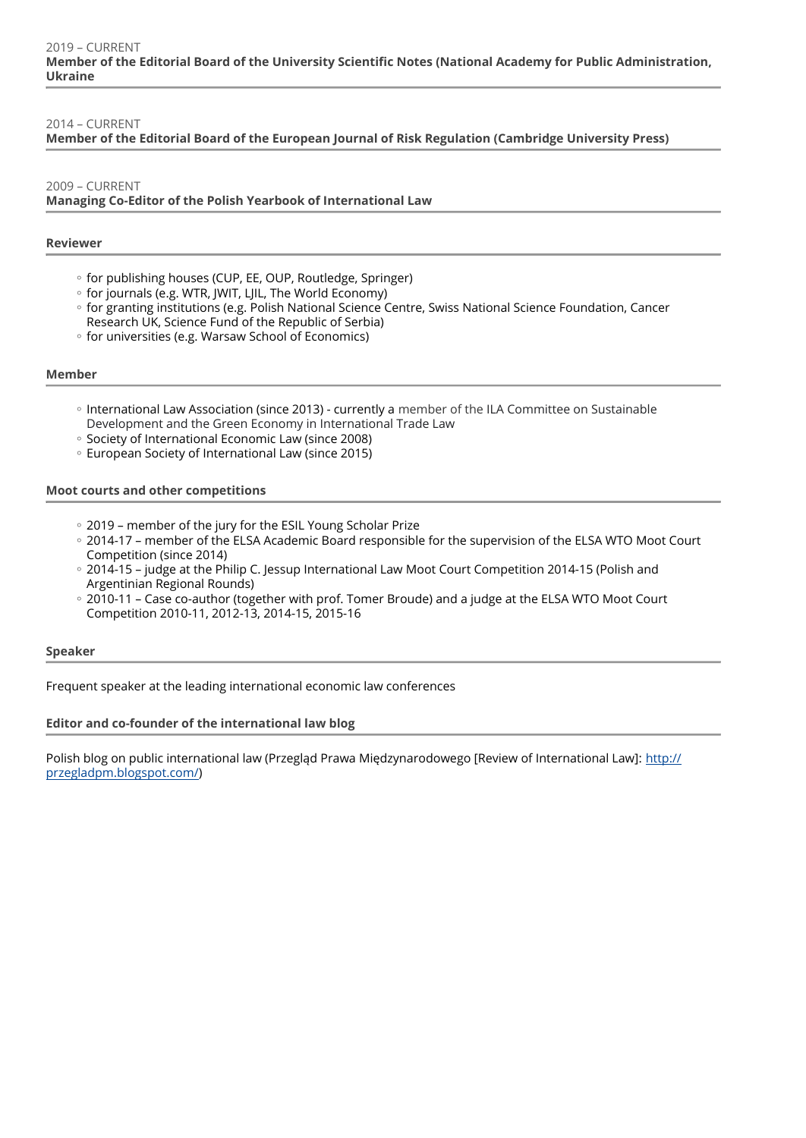## 2014 – CURRENT

## **Member of the Editorial Board of the European Journal of Risk Regulation (Cambridge University Press)**

## 2009 – CURRENT **Managing Co-Editor of the Polish Yearbook of International Law**

## **Reviewer**

- for publishing houses (CUP, EE, OUP, Routledge, Springer)
- for journals (e.g. WTR, JWIT, LJIL, The World Economy)
- for granting institutions (e.g. Polish National Science Centre, Swiss National Science Foundation, Cancer Research UK, Science Fund of the Republic of Serbia)
- for universities (e.g. Warsaw School of Economics)

## **Member**

- International Law Association (since 2013) currently a member of the ILA Committee on Sustainable Development and the Green Economy in International Trade Law
- Society of International Economic Law (since 2008)
- European Society of International Law (since 2015)

## **Moot courts and other competitions**

- 2019 member of the jury for the ESIL Young Scholar Prize
- 2014-17 member of the ELSA Academic Board responsible for the supervision of the ELSA WTO Moot Court Competition (since 2014)
- 2014-15 judge at the Philip C. Jessup International Law Moot Court Competition 2014-15 (Polish and Argentinian Regional Rounds)
- 2010-11 Case co-author (together with prof. Tomer Broude) and a judge at the ELSA WTO Moot Court Competition 2010-11, 2012-13, 2014-15, 2015-16

## **Speaker**

Frequent speaker at the leading international economic law conferences

## **Editor and co-founder of the international law blog**

Polish blog on public international law (Przegląd Prawa Międzynarodowego [Review of International Law]: [http://](http://przegladpm.blogspot.com/) [przegladpm.blogspot.com/\)](http://przegladpm.blogspot.com/)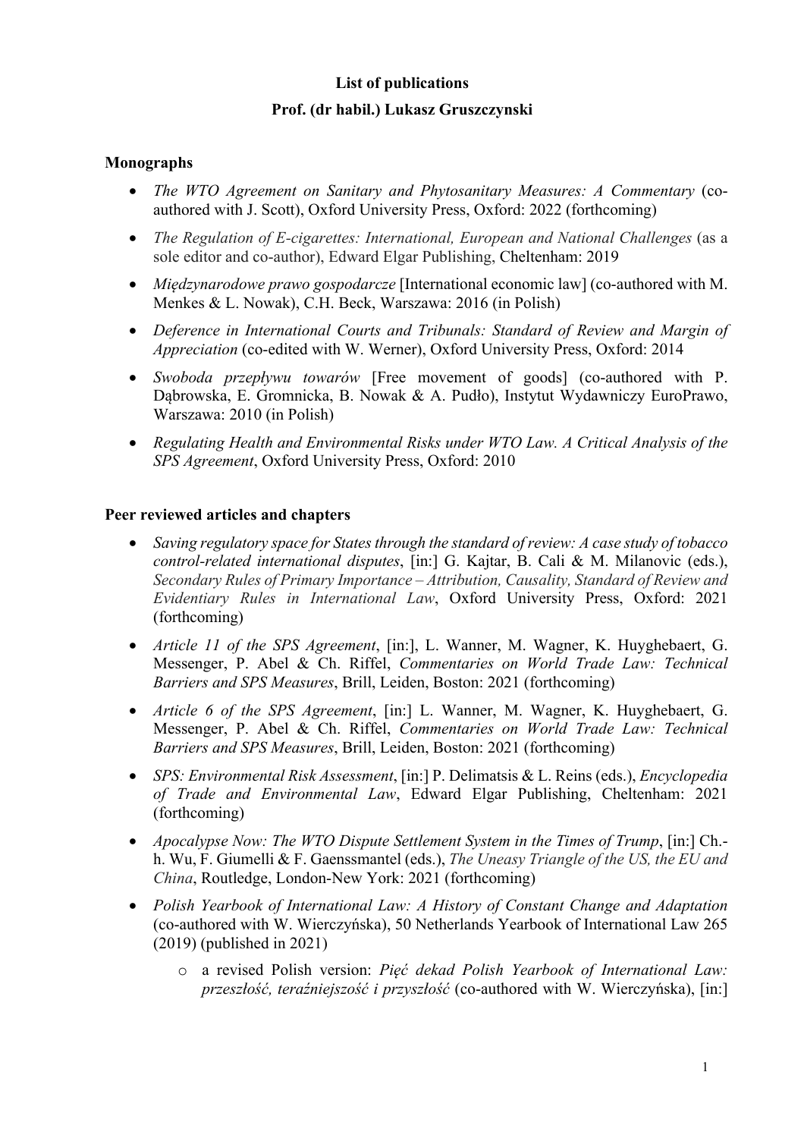# **List of publications Prof. (dr habil.) Lukasz Gruszczynski**

## **Monographs**

- *The WTO Agreement on Sanitary and Phytosanitary Measures: A Commentary (co*authored with J. Scott), Oxford University Press, Oxford: 2022 (forthcoming)
- *The Regulation of E-cigarettes: International, European and National Challenges* (as a sole editor and co-author), Edward Elgar Publishing, Cheltenham: 2019
- *Międzynarodowe prawo gospodarcze* [International economic law] (co-authored with M. Menkes & L. Nowak), C.H. Beck, Warszawa: 2016 (in Polish)
- *Deference in International Courts and Tribunals: Standard of Review and Margin of Appreciation* (co-edited with W. Werner), Oxford University Press, Oxford: 2014
- *Swoboda przepływu towarów* [Free movement of goods] (co-authored with P. Dąbrowska, E. Gromnicka, B. Nowak & A. Pudło), Instytut Wydawniczy EuroPrawo, Warszawa: 2010 (in Polish)
- *Regulating Health and Environmental Risks under WTO Law. A Critical Analysis of the SPS Agreement*, Oxford University Press, Oxford: 2010

## **Peer reviewed articles and chapters**

- *Saving regulatory space for States through the standard of review: A case study of tobacco control-related international disputes*, [in:] G. Kajtar, B. Cali & M. Milanovic (eds.), *Secondary Rules of Primary Importance – Attribution, Causality, Standard of Review and Evidentiary Rules in International Law*, Oxford University Press, Oxford: 2021 (forthcoming)
- *Article 11 of the SPS Agreement*, [in:], L. Wanner, M. Wagner, K. Huyghebaert, G. Messenger, P. Abel & Ch. Riffel, *Commentaries on World Trade Law: Technical Barriers and SPS Measures*, Brill, Leiden, Boston: 2021 (forthcoming)
- *Article 6 of the SPS Agreement*, [in:] L. Wanner, M. Wagner, K. Huyghebaert, G. Messenger, P. Abel & Ch. Riffel, *Commentaries on World Trade Law: Technical Barriers and SPS Measures*, Brill, Leiden, Boston: 2021 (forthcoming)
- *SPS: Environmental Risk Assessment*, [in:] P. Delimatsis & L. Reins (eds.), *Encyclopedia of Trade and Environmental Law*, Edward Elgar Publishing, Cheltenham: 2021 (forthcoming)
- *Apocalypse Now: The WTO Dispute Settlement System in the Times of Trump*, [in:] Ch. h. Wu, F. Giumelli & F. Gaenssmantel (eds.), *The Uneasy Triangle of the US, the EU and China*, Routledge, London-New York: 2021 (forthcoming)
- *Polish Yearbook of International Law: A History of Constant Change and Adaptation*  (co-authored with W. Wierczyńska), 50 Netherlands Yearbook of International Law 265 (2019) (published in 2021)
	- o a revised Polish version: *Pięć dekad Polish Yearbook of International Law: przeszłość, teraźniejszość i przyszłość* (co-authored with W. Wierczyńska), [in:]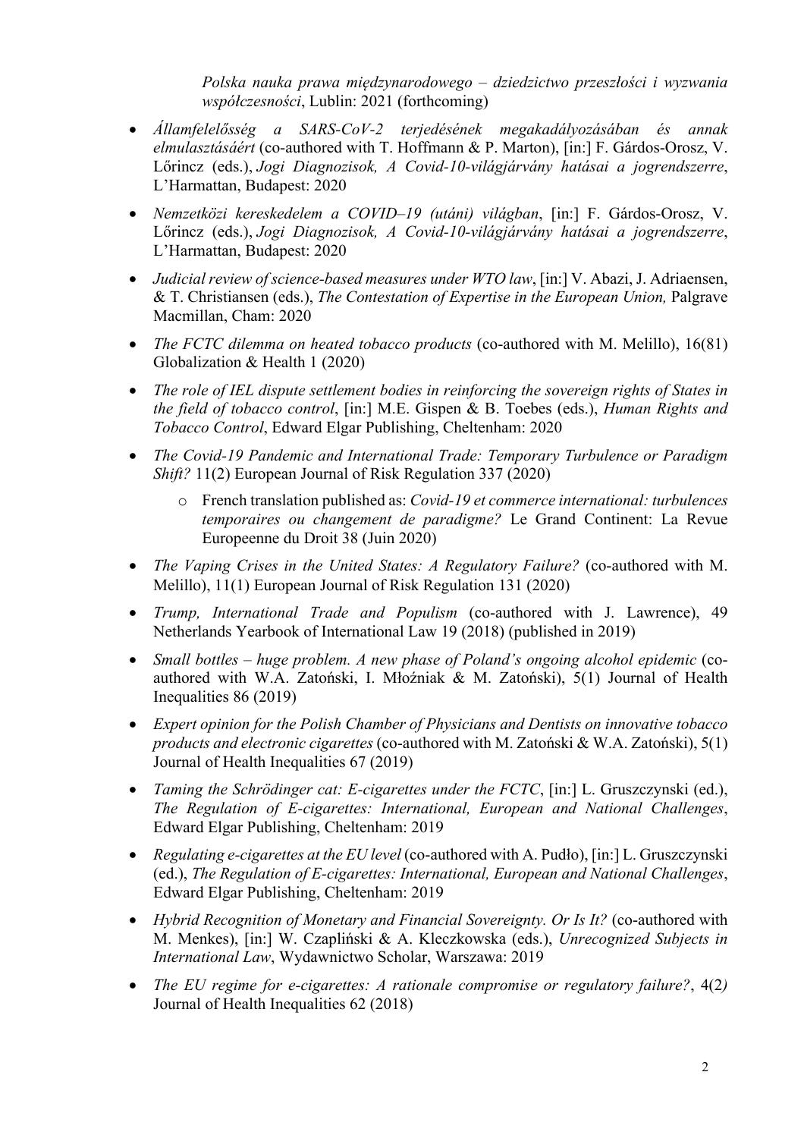*Polska nauka prawa międzynarodowego – dziedzictwo przeszłości i wyzwania współczesności*, Lublin: 2021 (forthcoming)

- *Államfelelősség a SARS-CoV-2 terjedésének megakadályozásában és annak elmulasztásáért* (co-authored with T. Hoffmann & P. Marton), [in:] F. Gárdos-Orosz, V. Lőrincz (eds.), *Jogi Diagnozisok, A Covid-10-világjárvány hatásai a jogrendszerre*, L'Harmattan, Budapest: 2020
- *Nemzetközi kereskedelem a COVID–19 (utáni) világban*, [in:] F. Gárdos-Orosz, V. Lőrincz (eds.), *Jogi Diagnozisok, A Covid-10-világjárvány hatásai a jogrendszerre*, L'Harmattan, Budapest: 2020
- *Judicial review of science-based measures under WTO law*, [in:] V. Abazi, J. Adriaensen, & T. Christiansen (eds.), *The Contestation of Expertise in the European Union,* Palgrave Macmillan, Cham: 2020
- *The FCTC dilemma on heated tobacco products* (co-authored with M. Melillo), 16(81) Globalization & Health 1 (2020)
- *The role of IEL dispute settlement bodies in reinforcing the sovereign rights of States in the field of tobacco control*, [in:] M.E. Gispen & B. Toebes (eds.), *Human Rights and Tobacco Control*, Edward Elgar Publishing, Cheltenham: 2020
- *The Covid-19 Pandemic and International Trade: Temporary Turbulence or Paradigm Shift?* 11(2) European Journal of Risk Regulation 337 (2020)
	- o French translation published as: *Covid-19 et commerce international: turbulences temporaires ou changement de paradigme?* Le Grand Continent: La Revue Europeenne du Droit 38 (Juin 2020)
- *The Vaping Crises in the United States: A Regulatory Failure?* (co-authored with M. Melillo), 11(1) European Journal of Risk Regulation 131 (2020)
- *Trump, International Trade and Populism* (co-authored with J. Lawrence), 49 Netherlands Yearbook of International Law 19 (2018) (published in 2019)
- *Small bottles – huge problem. A new phase of Poland's ongoing alcohol epidemic* (coauthored with W.A. Zatoński, I. Młoźniak & M. Zatoński), 5(1) Journal of Health Inequalities 86 (2019)
- *Expert opinion for the Polish Chamber of Physicians and Dentists on innovative tobacco products and electronic cigarettes* (co-authored with M. Zatoński & W.A. Zatoński), 5(1) Journal of Health Inequalities 67 (2019)
- *Taming the Schrödinger cat: E-cigarettes under the FCTC*, [in:] L. Gruszczynski (ed.), *The Regulation of E-cigarettes: International, European and National Challenges*, Edward Elgar Publishing, Cheltenham: 2019
- *Regulating e-cigarettes at the EU level* (co-authored with A. Pudło), [in:] L. Gruszczynski (ed.), *The Regulation of E-cigarettes: International, European and National Challenges*, Edward Elgar Publishing, Cheltenham: 2019
- *Hybrid Recognition of Monetary and Financial Sovereignty. Or Is It?* (co-authored with M. Menkes), [in:] W. Czapliński & A. Kleczkowska (eds.), *Unrecognized Subjects in International Law*, Wydawnictwo Scholar, Warszawa: 2019
- *The EU regime for e-cigarettes: A rationale compromise or regulatory failure?*, 4(2*)*  Journal of Health Inequalities 62 (2018)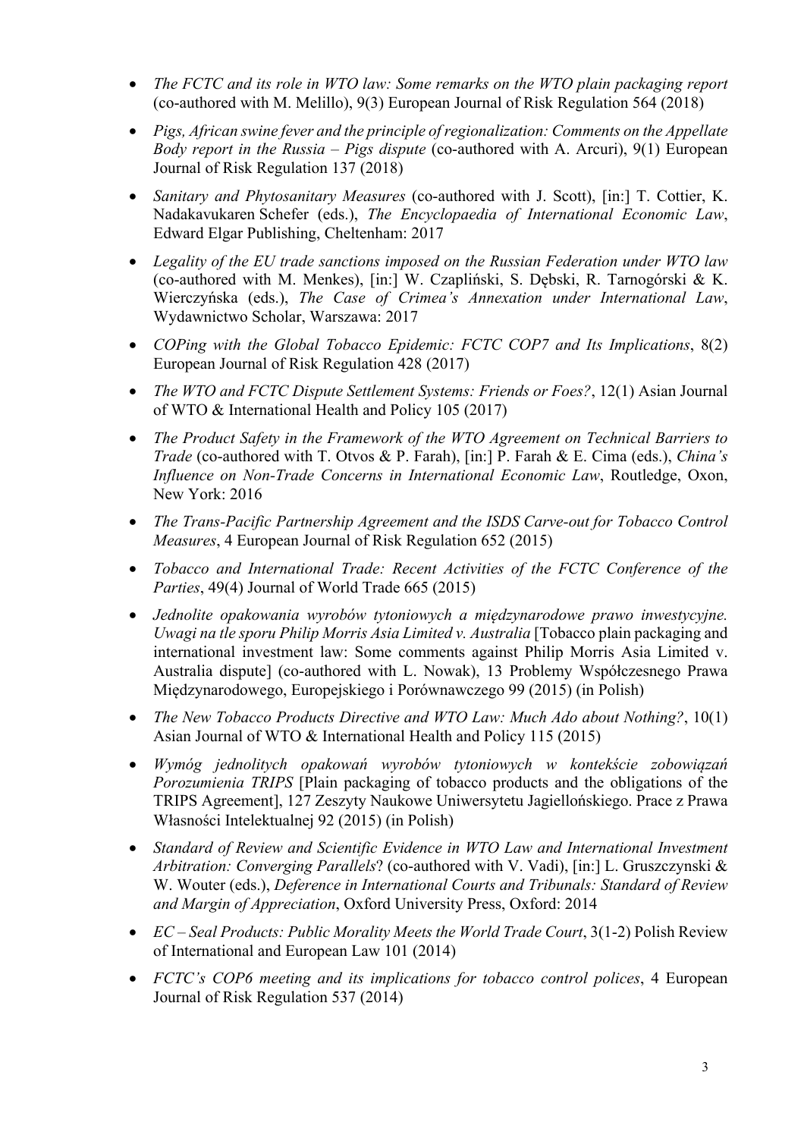- *The FCTC and its role in WTO law: Some remarks on the WTO plain packaging report* (co-authored with M. Melillo), 9(3) European Journal of Risk Regulation 564 (2018)
- *Pigs, African swine fever and the principle of regionalization: Comments on the Appellate Body report in the Russia – Pigs dispute* (co-authored with A. Arcuri), 9(1) European Journal of Risk Regulation 137 (2018)
- *Sanitary and Phytosanitary Measures* (co-authored with J. Scott), [in:] T. Cottier, K. Nadakavukaren Schefer (eds.), *The Encyclopaedia of International Economic Law*, Edward Elgar Publishing, Cheltenham: 2017
- *Legality of the EU trade sanctions imposed on the Russian Federation under WTO law*  (co-authored with M. Menkes), [in:] W. Czapliński, S. Dębski, R. Tarnogórski & K. Wierczyńska (eds.), *The Case of Crimea's Annexation under International Law*, Wydawnictwo Scholar, Warszawa: 2017
- *COPing with the Global Tobacco Epidemic: FCTC COP7 and Its Implications*, 8(2) European Journal of Risk Regulation 428 (2017)
- *The WTO and FCTC Dispute Settlement Systems: Friends or Foes?*, 12(1) Asian Journal of WTO & International Health and Policy 105 (2017)
- *The Product Safety in the Framework of the WTO Agreement on Technical Barriers to Trade* (co-authored with T. Otvos & P. Farah), [in:] P. Farah & E. Cima (eds.), *China's Influence on Non-Trade Concerns in International Economic Law*, Routledge, Oxon, New York: 2016
- *The Trans-Pacific Partnership Agreement and the ISDS Carve-out for Tobacco Control Measures*, 4 European Journal of Risk Regulation 652 (2015)
- *Tobacco and International Trade: Recent Activities of the FCTC Conference of the Parties*, 49(4) Journal of World Trade 665 (2015)
- *Jednolite opakowania wyrobów tytoniowych a międzynarodowe prawo inwestycyjne. Uwagi na tle sporu Philip Morris Asia Limited v. Australia* [Tobacco plain packaging and international investment law: Some comments against Philip Morris Asia Limited v. Australia dispute] (co-authored with L. Nowak), 13 Problemy Współczesnego Prawa Międzynarodowego, Europejskiego i Porównawczego 99 (2015) (in Polish)
- *The New Tobacco Products Directive and WTO Law: Much Ado about Nothing?*, 10(1) Asian Journal of WTO & International Health and Policy 115 (2015)
- *Wymóg jednolitych opakowań wyrobów tytoniowych w kontekście zobowiązań Porozumienia TRIPS* [Plain packaging of tobacco products and the obligations of the TRIPS Agreement], 127 Zeszyty Naukowe Uniwersytetu Jagiellońskiego. Prace z Prawa Własności Intelektualnej 92 (2015) (in Polish)
- *Standard of Review and Scientific Evidence in WTO Law and International Investment Arbitration: Converging Parallels*? (co-authored with V. Vadi), [in:] L. Gruszczynski & W. Wouter (eds.), *Deference in International Courts and Tribunals: Standard of Review and Margin of Appreciation*, Oxford University Press, Oxford: 2014
- *EC Seal Products: Public Morality Meets the World Trade Court*, 3(1-2) Polish Review of International and European Law 101 (2014)
- *FCTC's COP6 meeting and its implications for tobacco control polices*, 4 European Journal of Risk Regulation 537 (2014)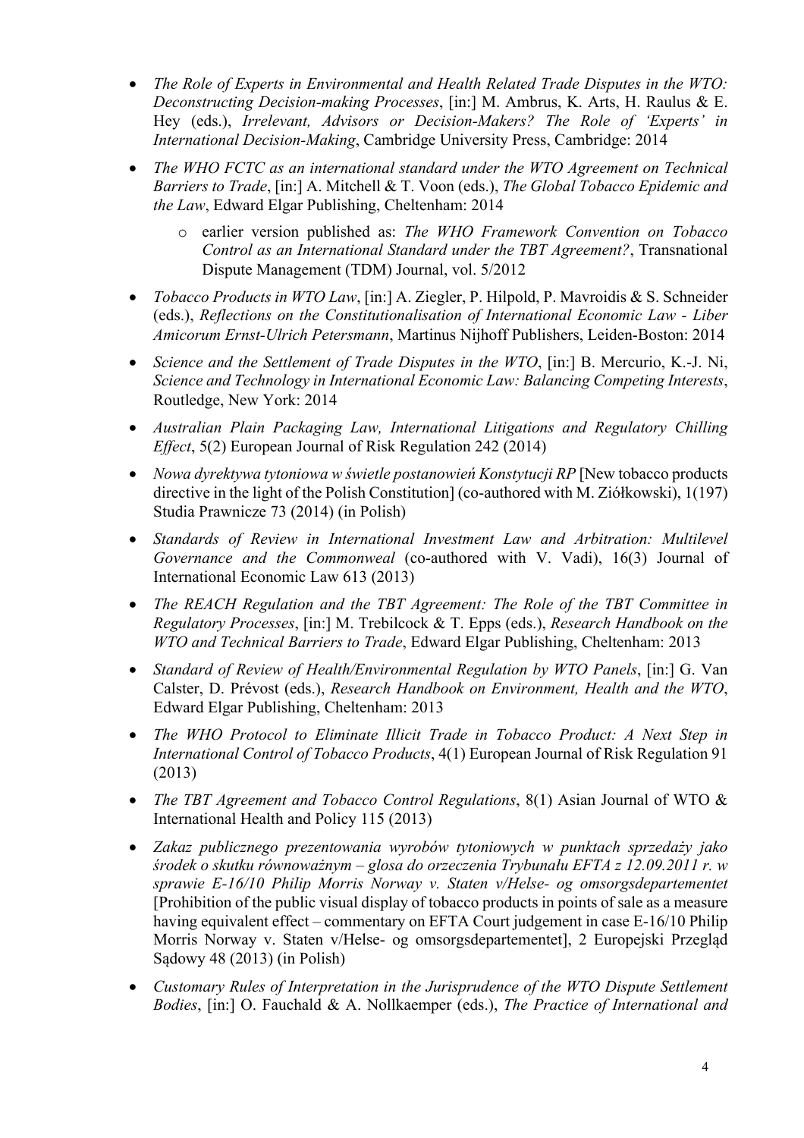- *The Role of Experts in Environmental and Health Related Trade Disputes in the WTO: Deconstructing Decision-making Processes*, [in:] M. Ambrus, K. Arts, H. Raulus & E. Hey (eds.), *Irrelevant, Advisors or Decision-Makers? The Role of 'Experts' in International Decision-Making*, Cambridge University Press, Cambridge: 2014
- *The WHO FCTC as an international standard under the WTO Agreement on Technical Barriers to Trade*, [in:] A. Mitchell & T. Voon (eds.), *The Global Tobacco Epidemic and the Law*, Edward Elgar Publishing, Cheltenham: 2014
	- earlier version published as: *The WHO Framework Convention on Tobacco Control as an International Standard under the TBT Agreement?*, Transnational Dispute Management (TDM) Journal, vol. 5/2012
- *Tobacco Products in WTO Law*, [in:] A. Ziegler, P. Hilpold, P. Mavroidis & S. Schneider (eds.), *Reflections on the Constitutionalisation of International Economic Law - Liber Amicorum Ernst-Ulrich Petersmann*, Martinus Nijhoff Publishers, Leiden-Boston: 2014
- *Science and the Settlement of Trade Disputes in the WTO*, [in:] B. Mercurio, K.-J. Ni, *Science and Technology in International Economic Law: Balancing Competing Interests*, Routledge, New York: 2014
- *Australian Plain Packaging Law, International Litigations and Regulatory Chilling Effect*, 5(2) European Journal of Risk Regulation 242 (2014)
- *Nowa dyrektywa tytoniowa w świetle postanowień Konstytucji RP* [New tobacco products] directive in the light of the Polish Constitution] (co-authored with M. Ziółkowski), 1(197) Studia Prawnicze 73 (2014) (in Polish)
- *Standards of Review in International Investment Law and Arbitration: Multilevel Governance and the Commonweal* (co-authored with V. Vadi), 16(3) Journal of International Economic Law 613 (2013)
- *The REACH Regulation and the TBT Agreement: The Role of the TBT Committee in Regulatory Processes*, [in:] M. Trebilcock & T. Epps (eds.), *Research Handbook on the WTO and Technical Barriers to Trade*, Edward Elgar Publishing, Cheltenham: 2013
- *Standard of Review of Health/Environmental Regulation by WTO Panels*, [in:] G. Van Calster, D. Prévost (eds.), *Research Handbook on Environment, Health and the WTO*, Edward Elgar Publishing, Cheltenham: 2013
- *The WHO Protocol to Eliminate Illicit Trade in Tobacco Product: A Next Step in International Control of Tobacco Products*, 4(1) European Journal of Risk Regulation 91 (2013)
- *The TBT Agreement and Tobacco Control Regulations*, 8(1) Asian Journal of WTO & International Health and Policy 115 (2013)
- *Zakaz publicznego prezentowania wyrobów tytoniowych w punktach sprzedaży jako środek o skutku równoważnym – glosa do orzeczenia Trybunału EFTA z 12.09.2011 r. w sprawie E-16/10 Philip Morris Norway v. Staten v/Helse- og omsorgsdepartementet*  [Prohibition of the public visual display of tobacco products in points of sale as a measure having equivalent effect – commentary on EFTA Court judgement in case E-16/10 Philip Morris Norway v. Staten v/Helse- og omsorgsdepartementet], 2 Europejski Przegląd Sądowy 48 (2013) (in Polish)
- *Customary Rules of Interpretation in the Jurisprudence of the WTO Dispute Settlement Bodies*, [in:] O. Fauchald & A. Nollkaemper (eds.), *The Practice of International and*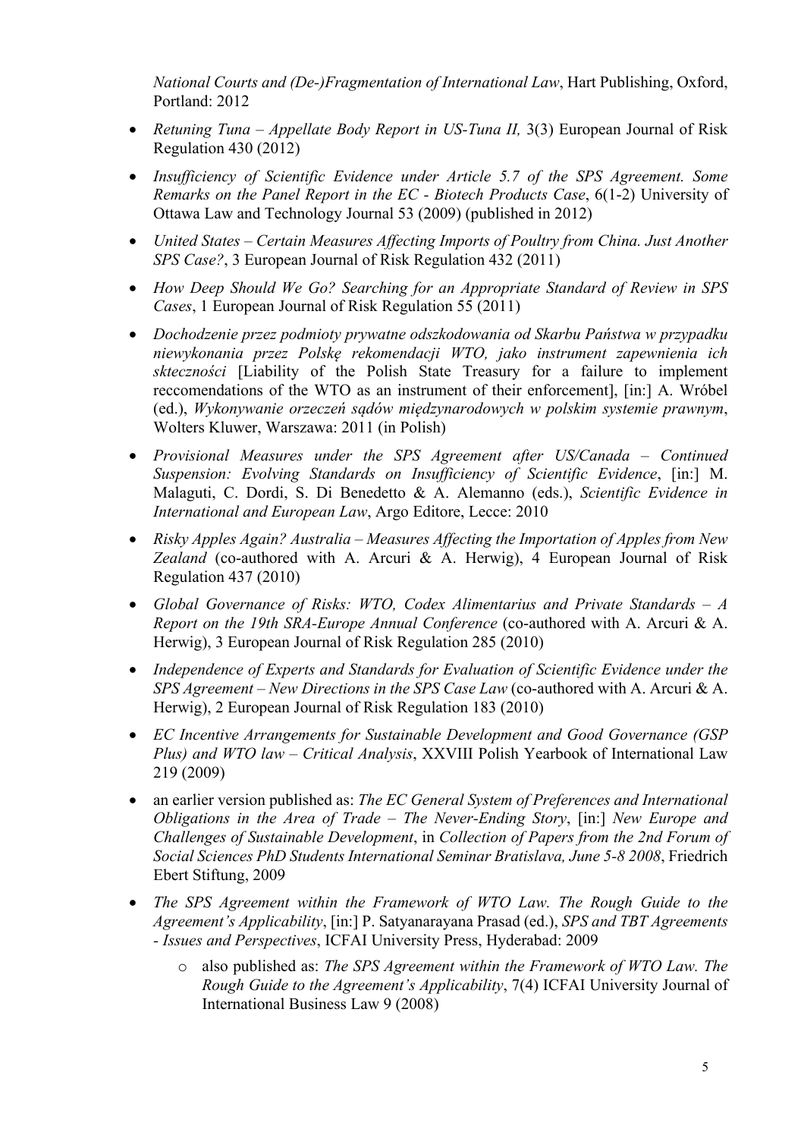*National Courts and (De-)Fragmentation of International Law*, Hart Publishing, Oxford, Portland: 2012

- *Retuning Tuna – Appellate Body Report in US-Tuna II,* 3(3) European Journal of Risk Regulation 430 (2012)
- *Insufficiency of Scientific Evidence under Article 5.7 of the SPS Agreement. Some Remarks on the Panel Report in the EC - Biotech Products Case*, 6(1-2) University of Ottawa Law and Technology Journal 53 (2009) (published in 2012)
- *United States – Certain Measures Affecting Imports of Poultry from China. Just Another SPS Case?*, 3 European Journal of Risk Regulation 432 (2011)
- *How Deep Should We Go? Searching for an Appropriate Standard of Review in SPS Cases*, 1 European Journal of Risk Regulation 55 (2011)
- *Dochodzenie przez podmioty prywatne odszkodowania od Skarbu Państwa w przypadku niewykonania przez Polskę rekomendacji WTO, jako instrument zapewnienia ich skteczności* [Liability of the Polish State Treasury for a failure to implement reccomendations of the WTO as an instrument of their enforcement], [in:] A. Wróbel (ed.), *Wykonywanie orzeczeń sądów międzynarodowych w polskim systemie prawnym*, Wolters Kluwer, Warszawa: 2011 (in Polish)
- *Provisional Measures under the SPS Agreement after US/Canada – Continued Suspension: Evolving Standards on Insufficiency of Scientific Evidence*, [in:] M. Malaguti, C. Dordi, S. Di Benedetto & A. Alemanno (eds.), *Scientific Evidence in International and European Law*, Argo Editore, Lecce: 2010
- *Risky Apples Again? Australia – Measures Affecting the Importation of Apples from New Zealand* (co-authored with A. Arcuri & A. Herwig), 4 European Journal of Risk Regulation 437 (2010)
- *Global Governance of Risks: WTO, Codex Alimentarius and Private Standards – A Report on the 19th SRA-Europe Annual Conference* (co-authored with A. Arcuri & A. Herwig), 3 European Journal of Risk Regulation 285 (2010)
- *Independence of Experts and Standards for Evaluation of Scientific Evidence under the SPS Agreement – New Directions in the SPS Case Law* (co-authored with A. Arcuri & A. Herwig), 2 European Journal of Risk Regulation 183 (2010)
- *EC Incentive Arrangements for Sustainable Development and Good Governance (GSP Plus) and WTO law – Critical Analysis*, XXVIII Polish Yearbook of International Law 219 (2009)
- an earlier version published as: *The EC General System of Preferences and International Obligations in the Area of Trade – The Never-Ending Story*, [in:] *New Europe and Challenges of Sustainable Development*, in *Collection of Papers from the 2nd Forum of Social Sciences PhD Students International Seminar Bratislava, June 5-8 2008*, Friedrich Ebert Stiftung, 2009
- *The SPS Agreement within the Framework of WTO Law. The Rough Guide to the Agreement's Applicability*, [in:] P. Satyanarayana Prasad (ed.), *SPS and TBT Agreements - Issues and Perspectives*, ICFAI University Press, Hyderabad: 2009
	- o also published as: *The SPS Agreement within the Framework of WTO Law. The Rough Guide to the Agreement's Applicability*, 7(4) ICFAI University Journal of International Business Law 9 (2008)